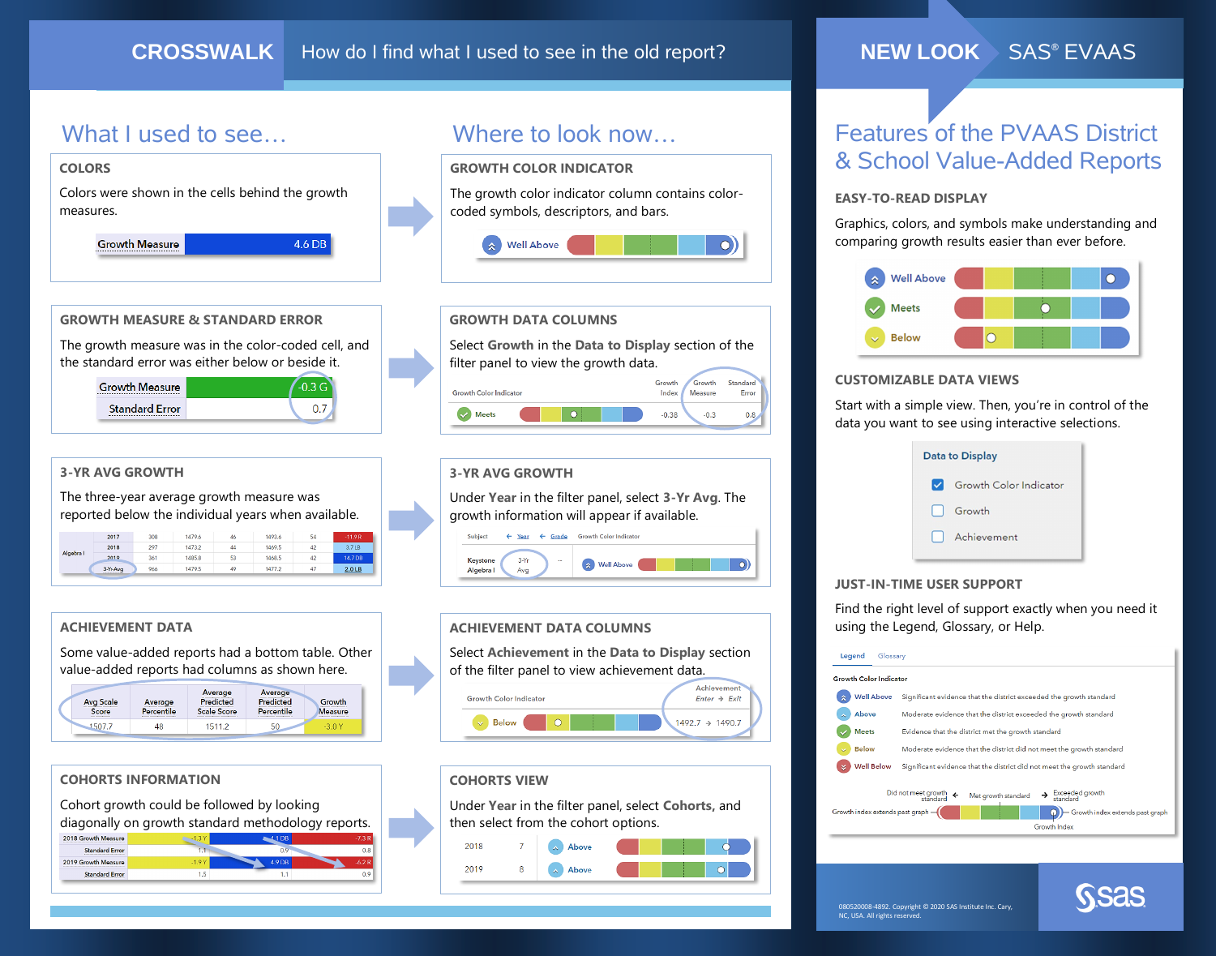# What I used to see… Where to look now...



### **NEW LOOK** SAS® EVAAS

# Features of the PVAAS District & School Value-Added Reports

### **EASY-TO-READ DISPLAY**

 $\bigcirc$ 

Growth

 $-0.3$ 

Achievemen

 $1492.7 \rightarrow 1490.7$ 

 $Enter \rightarrow Exist$ 

 $\bigcirc$ 

 $|0|$ 

Measure

Standard

Error

 $0.8$ 

Graphics, colors, and symbols make understanding and comparing growth results easier than ever before.



### **CUSTOMIZABLE DATA VIEWS**

Start with a simple view. Then, you're in control of the data you want to see using interactive selections.

| <b>Data to Display</b> |                               |
|------------------------|-------------------------------|
| $\vee$                 | <b>Growth Color Indicator</b> |
|                        | Growth                        |
|                        | Achievement                   |
|                        |                               |

### **JUST-IN-TIME USER SUPPORT**

Find the right level of support exactly when you need it using the Legend, Glossary, or Help.

| Legend<br>Glossary                                                                                                                                                                                 |                                                                         |  |  |
|----------------------------------------------------------------------------------------------------------------------------------------------------------------------------------------------------|-------------------------------------------------------------------------|--|--|
| <b>Growth Color Indicator</b>                                                                                                                                                                      |                                                                         |  |  |
| <b>Well Above</b>                                                                                                                                                                                  | Significant evidence that the district exceeded the growth standard     |  |  |
| Above                                                                                                                                                                                              | Moderate evidence that the district exceeded the growth standard        |  |  |
| <b>Meets</b>                                                                                                                                                                                       | Evidence that the district met the growth standard                      |  |  |
| <b>Below</b>                                                                                                                                                                                       | Moderate evidence that the district did not meet the growth standard    |  |  |
| <b>Well Below</b>                                                                                                                                                                                  | Significant evidence that the district did not meet the growth standard |  |  |
| Did not meet growth<br>standard<br>Exceeded growth<br>$\leftarrow$<br>Met growth standard<br>standard<br>Growth index extends past graph<br>Growth index extends past graph<br><b>Growth Index</b> |                                                                         |  |  |
|                                                                                                                                                                                                    |                                                                         |  |  |

### 080520008-4892. Copyright © 2020 SAS Institute Inc. Cary, NC, USA. All rights reserved.